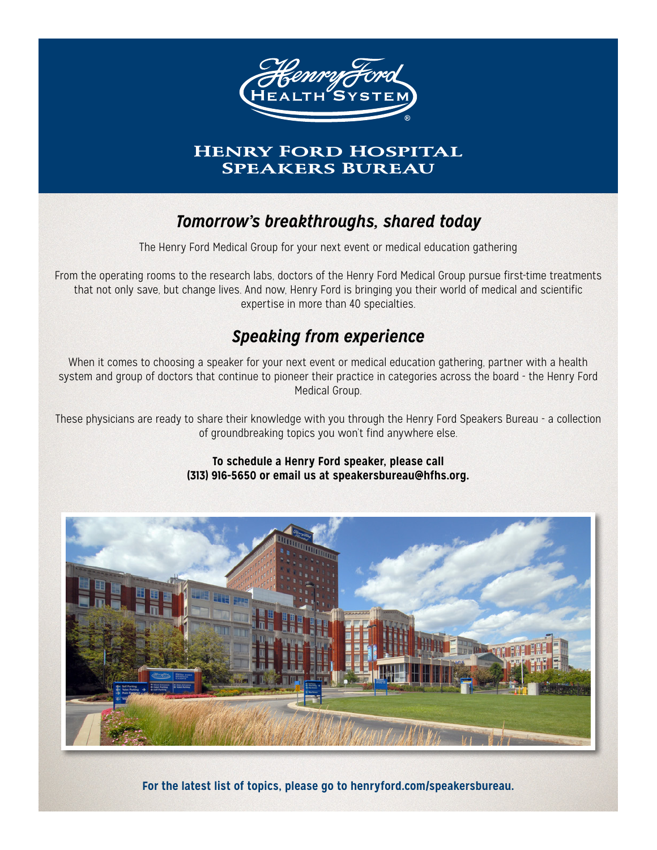

# **HENRY FORD HOSPITAL SPEAKERS BUREAU**

# *Tomorrow's breakthroughs, shared today*

The Henry Ford Medical Group for your next event or medical education gathering

From the operating rooms to the research labs, doctors of the Henry Ford Medical Group pursue first-time treatments that not only save, but change lives. And now, Henry Ford is bringing you their world of medical and scientific expertise in more than 40 specialties.

# *Speaking from experience*

When it comes to choosing a speaker for your next event or medical education gathering, partner with a health system and group of doctors that continue to pioneer their practice in categories across the board - the Henry Ford Medical Group.

These physicians are ready to share their knowledge with you through the Henry Ford Speakers Bureau - a collection of groundbreaking topics you won't find anywhere else.

> **To schedule a Henry Ford speaker, please call (313) 916-5650 or email us at speakersbureau@hfhs.org.**



**For the latest list of topics, please go to henryford.com/speakersbureau.**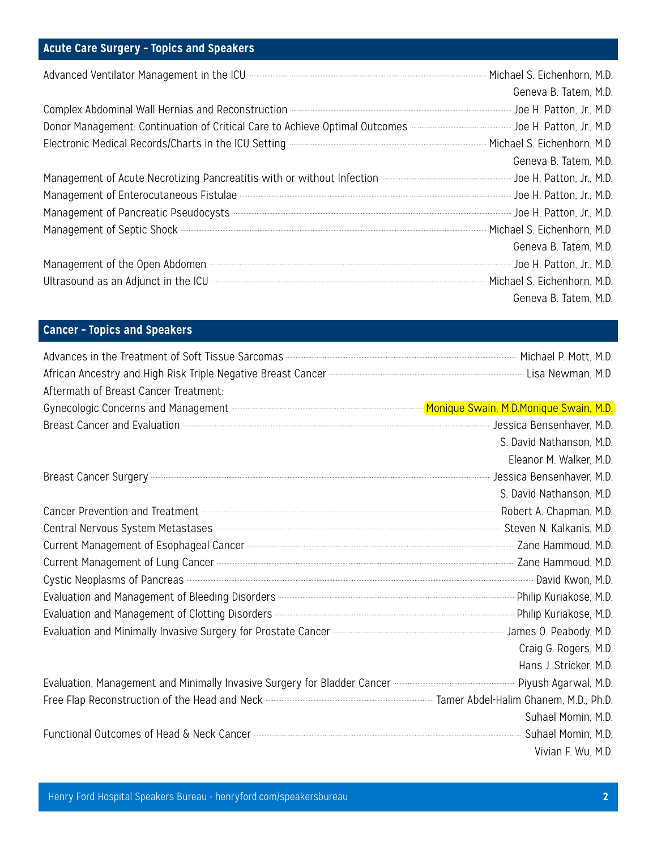#### **Acute Care Surgery – Topics and Speakers**

| Advanced Ventilator Management in the ICU <b>CONCORREGISTION</b> MILL MICHAEL S. Eichenhorn, M.D.                                                                                                                                   |                       |
|-------------------------------------------------------------------------------------------------------------------------------------------------------------------------------------------------------------------------------------|-----------------------|
|                                                                                                                                                                                                                                     | Geneva B. Tatem, M.D. |
| Complex Abdominal Wall Hernias and Reconstruction <b>Commission Complex Abdominal Wall Hernias and Reconstruction</b>                                                                                                               |                       |
| Donor Management: Continuation of Critical Care to Achieve Optimal Outcomes                                                                                                                                                         |                       |
| Electronic Medical Records/Charts in the ICU Setting <b>Electronic Construction</b> Michael S. Eichenhorn, M.D.                                                                                                                     |                       |
|                                                                                                                                                                                                                                     | Geneva B. Tatem, M.D. |
|                                                                                                                                                                                                                                     |                       |
| Management of Enterocutaneous Fistulae <b>Management of Enterocutaneous</b> Fistulae Management of Enterocutaneous Fistulae Management of Enterocutaneous Fistulae Management of Enterocutaneous Fistulae Management of the Batton, |                       |
| Management of Pancreatic Pseudocysts <b>Constitution Construction</b> Joe H. Patton, Jr., M.D.                                                                                                                                      |                       |
| Management of Septic Shock <b>Express Shock</b> 2016 and Management Of Septic Shock 2016                                                                                                                                            |                       |
|                                                                                                                                                                                                                                     | Geneva B. Tatem, M.D. |
| Management of the Open Abdomen <b>Election Contract Contract Contract Contract</b> Joe H. Patton, Jr., M.D.                                                                                                                         |                       |
| Ultrasound as an Adjunct in the ICU <b>Constitution</b> CO And The Construction Construction Construction Construction Construction Construction Construction Construction Construction Construction Construction Construction Cons |                       |
|                                                                                                                                                                                                                                     | Geneva B. Tatem, M.D. |

#### **Cancer – Topics and Speakers**

| Advances in the Treatment of Soft Tissue Sarcomas <b>Entitled Structure Controller Structure Properties</b> Michael P. Mott, M.D.                                                                                                             |                          |
|-----------------------------------------------------------------------------------------------------------------------------------------------------------------------------------------------------------------------------------------------|--------------------------|
| African Ancestry and High Risk Triple Negative Breast Cancer <b>Contract Contract Cancer Active Contract</b> Lisa Newman, M.D.                                                                                                                |                          |
| Aftermath of Breast Cancer Treatment:                                                                                                                                                                                                         |                          |
| Gynecologic Concerns and Management <b>Election Construction</b> and Management <b>Election Construction Construction</b> and Management <b>Election Construction</b> and Construction and Construction and Construction and Construction ALD |                          |
| Breast Cancer and Evaluation <b>Example 2018</b> Sensition 2018 10:00 Metal 2019 10:00 Metal 2019 10:00 Metal 2019 10:00                                                                                                                      |                          |
|                                                                                                                                                                                                                                               | S. David Nathanson, M.D. |
|                                                                                                                                                                                                                                               | Eleanor M. Walker, M.D.  |
| Breast Cancer Surgery <b>- According to the Contract Office Server M.D.</b> Jessica Bensenhaver, M.D.                                                                                                                                         |                          |
|                                                                                                                                                                                                                                               | S. David Nathanson, M.D. |
| Cancer Prevention and Treatment <b>Electropic Contract Contract Contract</b> Robert A. Chapman, M.D.                                                                                                                                          |                          |
| Central Nervous System Metastases <b>Contral Contral Contral Contral Contral Contral Contral Contral Contral Contral Contral Contral Contral Contral Contral Contral Contral Contral Contra Contra Contra Contra Contra Contra C</b>          |                          |
| Current Management of Esophageal Cancer <b>Example 2008</b> Cancer 2008 Number 2ane Hammoud, M.D.                                                                                                                                             |                          |
| Current Management of Lung Cancer <b>Election Contract Contract Contract Contract</b> Zane Hammoud, M.D.                                                                                                                                      |                          |
| Cystic Neoplasms of Pancreas <b>Cancel Committee Committee Committee Committee Committee Cystic Neoplasms</b> of Pancreas                                                                                                                     |                          |
| Evaluation and Management of Bleeding Disorders <b>Constitution and Science Constant Philip Kuriakose</b> , M.D.                                                                                                                              |                          |
| Evaluation and Management of Clotting Disorders <b>Constitution</b> Construction and Management of Clotting Disorders Communication Communication and Management of Clotting Disorders Communication Communication and Disorders Co           |                          |
| Evaluation and Minimally Invasive Surgery for Prostate Cancer <b>Cancer Commence Commence Commence</b> James O. Peabody, M.D.                                                                                                                 |                          |
|                                                                                                                                                                                                                                               | Craig G. Rogers, M.D.    |
|                                                                                                                                                                                                                                               | Hans J. Stricker, M.D.   |
| Evaluation, Management and Minimally Invasive Surgery for Bladder Cancer <b>Cancer Communication</b> . Piyush Agarwal, M.D.                                                                                                                   |                          |
| Free Flap Reconstruction of the Head and Neck <b>Construction</b> of the Head and Neck Construction and Neck Construction and Deck Construction and Neck Construction and Neck Construction and Deck Construction and Tamer Abdel-H           |                          |
|                                                                                                                                                                                                                                               | Suhael Momin, M.D.       |
| Functional Outcomes of Head & Neck Cancer <b>Contract Contract Contract Contract Contract</b> Suhael Momin, M.D.                                                                                                                              |                          |
|                                                                                                                                                                                                                                               | Vivian F. Wu, M.D.       |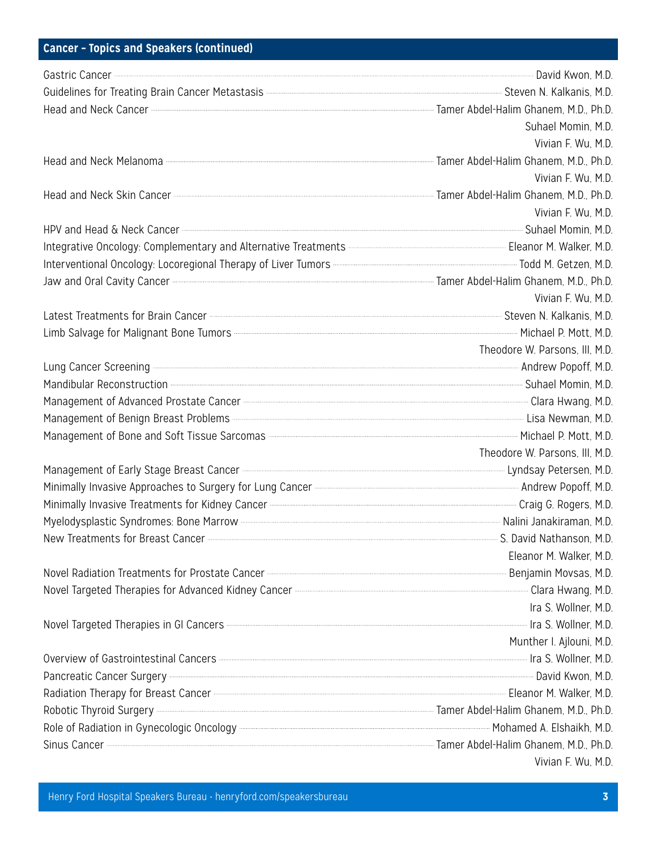# **Cancer – Topics and Speakers (continued)**

| Gastric Cancer <b>Cancer</b> David Kwon, M.D.                                                                                                                                                                                        |                                |
|--------------------------------------------------------------------------------------------------------------------------------------------------------------------------------------------------------------------------------------|--------------------------------|
| Guidelines for Treating Brain Cancer Metastasis <b>Entitation Contract Contract Contract</b> Steven N. Kalkanis, M.D.                                                                                                                |                                |
| Head and Neck Cancer <b>Contract Cancer Constitution</b> M.D., Ph.D.                                                                                                                                                                 |                                |
|                                                                                                                                                                                                                                      | Suhael Momin, M.D.             |
|                                                                                                                                                                                                                                      | Vivian F. Wu, M.D.             |
| Head and Neck Melanoma <b>Engineer Section</b> Tamer Abdel-Halim Ghanem, M.D., Ph.D.                                                                                                                                                 |                                |
|                                                                                                                                                                                                                                      | Vivian F. Wu. M.D.             |
| Head and Neck Skin Cancer <b>Engineer Constructs</b> Tamer Abdel-Halim Ghanem, M.D., Ph.D.                                                                                                                                           |                                |
|                                                                                                                                                                                                                                      | Vivian F. Wu, M.D.             |
| HPV and Head & Neck Cancer <b>Contract Cancer Contract Contract Contract Contract Contract Contract Contract Contract Contract Contract Contract Contract Contract Contract Contract Contract Contract Contract Contract Contrac</b> |                                |
|                                                                                                                                                                                                                                      |                                |
| Interventional Oncology: Locoregional Therapy of Liver Tumors <b>Committee Construction</b> Todd M. Getzen, M.D.                                                                                                                     |                                |
| Jaw and Oral Cavity Cancer <b>Entrepreneum Contract Cavity Cancer</b> M.D., Ph.D.                                                                                                                                                    |                                |
|                                                                                                                                                                                                                                      | Vivian F. Wu, M.D.             |
| Latest Treatments for Brain Cancer <b>Entimates and Cancer Contract Cancer</b> Entertainment Steven N. Kalkanis, M.D.                                                                                                                |                                |
| Limb Salvage for Malignant Bone Tumors <b>Constitution</b> Malignant Bone Tumors <b>Constitution</b> Michael P. Mott, M.D.                                                                                                           |                                |
|                                                                                                                                                                                                                                      | Theodore W. Parsons, III, M.D. |
| Lung Cancer Screening <b>Exercedia and Times</b> Andrew Popoff, M.D.                                                                                                                                                                 |                                |
| Mandibular Reconstruction <b>Construction</b> M.D.                                                                                                                                                                                   |                                |
| Management of Advanced Prostate Cancer <b>Cancer Commerce Cancer Cancer Cancer</b> Clara Hwang, M.D.                                                                                                                                 |                                |
| Management of Benign Breast Problems <b>Construction Controller Construction</b> Lisa Newman, M.D.                                                                                                                                   |                                |
| Management of Bone and Soft Tissue Sarcomas <b>Constanting Construction</b> and Michael P. Mott, M.D.                                                                                                                                |                                |
|                                                                                                                                                                                                                                      | Theodore W. Parsons, III, M.D. |
| Management of Early Stage Breast Cancer <b>Cancer Communication Communication</b> Lyndsay Petersen, M.D.                                                                                                                             |                                |
|                                                                                                                                                                                                                                      |                                |
| Minimally Invasive Treatments for Kidney Cancer <b>Entimates</b> Controller and a Craig G. Rogers, M.D.                                                                                                                              |                                |
| Myelodysplastic Syndromes: Bone Marrow <b>Maching and Construct Controller and Constanting Machine And Tanakiraman</b> , M.D.                                                                                                        |                                |
| New Treatments for Breast Cancer <b>Cancer Communication</b> M.D.                                                                                                                                                                    |                                |
|                                                                                                                                                                                                                                      | Eleanor M. Walker, M.D.        |
| Novel Radiation Treatments for Prostate Cancer <b>Election Controller Cancer Controller Cancer</b> 2010                                                                                                                              |                                |
| Novel Targeted Therapies for Advanced Kidney Cancer <b>Entimal Construction</b> Content Clara Hwang, M.D.                                                                                                                            |                                |
|                                                                                                                                                                                                                                      | Ira S. Wollner, M.D.           |
| Novel Targeted Therapies in GI Cancers <b>Contract Contract Contract Contract Contract</b> Ira S. Wollner, M.D.                                                                                                                      |                                |
|                                                                                                                                                                                                                                      | Munther I. Ajlouni, M.D.       |
| Overview of Gastrointestinal Cancers <b>Entity of Castroint and Cancers</b> (M.D.                                                                                                                                                    |                                |
|                                                                                                                                                                                                                                      |                                |
| Radiation Therapy for Breast Cancer <b>Cancer Communication</b> Construction Cancer Cancer Cancer Cancer Cancer Cancer                                                                                                               |                                |
| Robotic Thyroid Surgery <b>Exercise Surgery</b> 20. Ph.D.                                                                                                                                                                            |                                |
| Role of Radiation in Gynecologic Oncology <b>Exercise Section</b> Mohamed A. Elshaikh, M.D.                                                                                                                                          |                                |
| Sinus Cancer <b>Cancer Allen B. Ph.D.</b> Ph.D.                                                                                                                                                                                      |                                |
|                                                                                                                                                                                                                                      | Vivian F. Wu, M.D.             |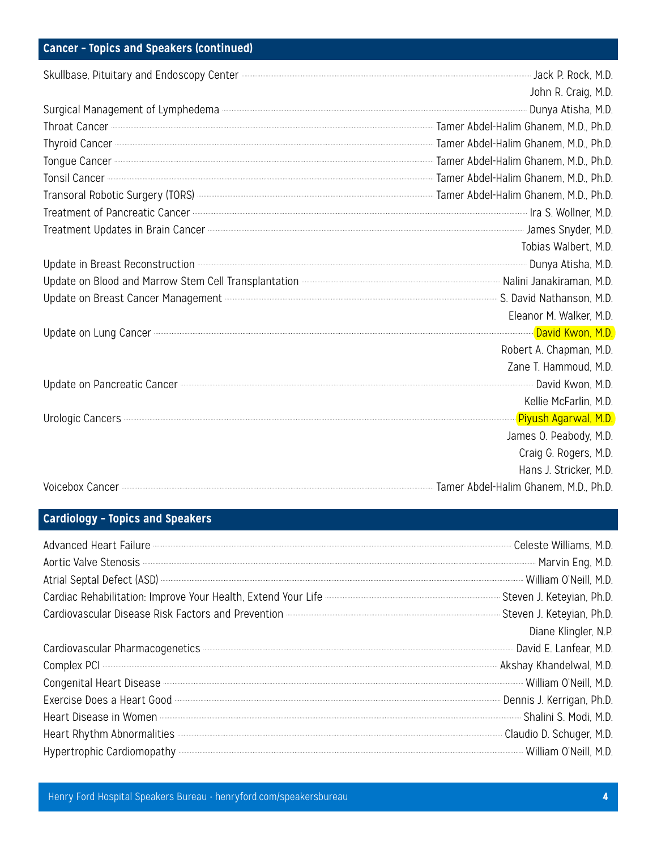# **Cancer – Topics and Speakers (continued)**

| Skullbase, Pituitary and Endoscopy Center <b>Content Construction</b> and Endoscopy Center Content Construction and the Construction and the Constantine and District P. Rock, M.D.                                                  |                         |
|--------------------------------------------------------------------------------------------------------------------------------------------------------------------------------------------------------------------------------------|-------------------------|
|                                                                                                                                                                                                                                      | John R. Craig, M.D.     |
| Surgical Management of Lymphedema <b>Election Communities</b> Communities Communities Communities Communities Communities                                                                                                            |                         |
| Throat Cancer <b>Cancer 2006</b> , Ph.D. Ph.D.                                                                                                                                                                                       |                         |
| Thyroid Cancer <b>Contract Cancer Contract Contract Contract Contract Contract Contract Contract Contract Contract Contract Contract Contract Contract Contract Contract Contract Contract Contract Contract Contract Contract C</b> |                         |
|                                                                                                                                                                                                                                      |                         |
| Tonsil Cancer <b>Contract Cancer</b> Consider Cancer M.D., Ph.D.                                                                                                                                                                     |                         |
| Transoral Robotic Surgery (TORS) <b>Manufation Structure Controller Structure Controller Structure Controller Structure Controller Structure Tamer Abdel-Halim Ghanem, M.D., Ph.D.</b>                                               |                         |
| Treatment of Pancreatic Cancer <b>Cancer Commission Cancer</b> M.D.                                                                                                                                                                  |                         |
| Treatment Updates in Brain Cancer <b>Contract Contract Contract Contract Contract Contract Contract Contract Contract Contract Contract Contract Contract Contract Contract Contract Contract Contract Contract Contract Contrac</b> |                         |
|                                                                                                                                                                                                                                      | Tobias Walbert, M.D.    |
| Update in Breast Reconstruction <b>Construction</b> 2010, M.D.                                                                                                                                                                       |                         |
|                                                                                                                                                                                                                                      |                         |
| Update on Breast Cancer Management <b>Election Constructs</b> Contract Cancer Management Construction Construction Contract Cancer Management Construction Construction Construction Construction Construction Construction Constru  |                         |
|                                                                                                                                                                                                                                      | Eleanor M. Walker, M.D. |
| Update on Lung Cancer <b>Contract Contract Contract Contract Contract Contract Contract Contract Contract Contract Contract Contract Contract Contract Contract Contract Contract Contract Contract Contract Contract Contract C</b> |                         |
|                                                                                                                                                                                                                                      | Robert A. Chapman, M.D. |
|                                                                                                                                                                                                                                      | Zane T. Hammoud, M.D.   |
| Update on Pancreatic Cancer <b>Contract Contract Contract Contract Contract Contract Contract Contract Contract Contract Contract Contract Contract Contract Contract Contract Contract Contract Contract Contract Contract Cont</b> |                         |
|                                                                                                                                                                                                                                      | Kellie McFarlin, M.D.   |
| Urologic Cancers <b>Contract Contract Contract Contract Contract Contract Contract Contract Contract Contract Contract Contract Contract Contract Contract Contract Contract Contract Contract Contract Contract Contract Contra</b> |                         |
|                                                                                                                                                                                                                                      | James O. Peabody, M.D.  |
|                                                                                                                                                                                                                                      | Craig G. Rogers, M.D.   |
|                                                                                                                                                                                                                                      | Hans J. Stricker, M.D.  |
| Voicebox Cancer <b>Entrancer Cancer</b> M.D., Ph.D.                                                                                                                                                                                  |                         |

#### **Cardiology – Topics and Speakers**

| Advanced Heart Failure <b>Construent Construent Construent Construent Construent Construct</b> Celeste Williams, M.D.                                                                                                                |                      |
|--------------------------------------------------------------------------------------------------------------------------------------------------------------------------------------------------------------------------------------|----------------------|
| Aortic Valve Stenosis <b>Election</b> Martin Eng, M.D.                                                                                                                                                                               |                      |
| Atrial Septal Defect (ASD) <b>Manufacture (ASD)</b> 2016. Atrial Septal Defect (ASD) 2016. A.D.                                                                                                                                      |                      |
| Cardiac Rehabilitation: Improve Your Health, Extend Your Life <b>Carolinan Communistion Cardiac Rehabilitation</b> : Improve Your Health, Extend Your Life <b>Carolinan Communistion</b> Steven J. Keteyian, Ph.D.                   |                      |
| Cardiovascular Disease Risk Factors and Prevention <b>Constitution</b> 2014 12:00 21 Steven J. Keteyian, Ph.D.                                                                                                                       |                      |
|                                                                                                                                                                                                                                      | Diane Klingler, N.P. |
|                                                                                                                                                                                                                                      |                      |
|                                                                                                                                                                                                                                      |                      |
| Congenital Heart Disease <b>Congenital Heart Disease</b> 2016, M.D.                                                                                                                                                                  |                      |
| Exercise Does a Heart Good <b>Commission Contract Cool</b> Commission Ph.D.                                                                                                                                                          |                      |
| Heart Disease in Women <b>Exercise Strategie and Strategie and Strategie and Strategie and Strategie and Strategie and Strategie and Strategie and Strategie and Strategie and Strategie and Strategie and Strategie and Strateg</b> |                      |
| Heart Rhythm Abnormalities <b>Entity of the Claudio D.</b> Schuger, M.D.                                                                                                                                                             |                      |
| Hypertrophic Cardiomopathy <b>Contract Contact Contract Contract Contract Contract Contract Contract Contract Contract Contract Contract Contract Contract Contract Contract Contract Contract Contract Contract Contract Contra</b> |                      |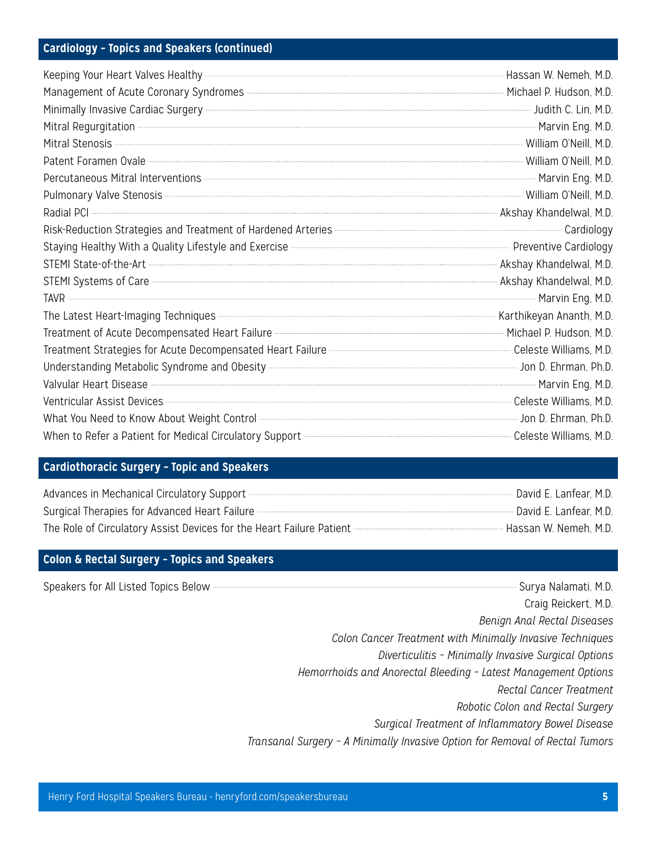#### **Cardiology – Topics and Speakers (continued)**

| Keeping Your Heart Valves Healthy <b>Constitution Construct Constant Construct</b> Hassan W. Nemeh, M.D.<br>Management of Acute Coronary Syndromes <b>Constructed Accord Construction</b> Michael P. Hudson, M.D.                    |  |
|--------------------------------------------------------------------------------------------------------------------------------------------------------------------------------------------------------------------------------------|--|
| Minimally Invasive Cardiac Surgery <b>Continued by the Continued Control</b> of the Second Library Process of the Second Library Process of the Second Library Process of the Second Library Process of the Decision of the Decisio  |  |
|                                                                                                                                                                                                                                      |  |
|                                                                                                                                                                                                                                      |  |
| Patent Foramen Ovale <b>Communications</b> William O'Neill, M.D.                                                                                                                                                                     |  |
|                                                                                                                                                                                                                                      |  |
|                                                                                                                                                                                                                                      |  |
|                                                                                                                                                                                                                                      |  |
| Risk-Reduction Strategies and Treatment of Hardened Arteries <b>Constrainer and Strategies</b> Cardiology                                                                                                                            |  |
|                                                                                                                                                                                                                                      |  |
|                                                                                                                                                                                                                                      |  |
| STEMI State-of-the-Art <b>Contract Contract Contract Contract Contract Contract Contract Contract Contract Contract Contract Contract Contract Contract Contract Contract Contract Contract Contract Contract Contract Contract </b> |  |
|                                                                                                                                                                                                                                      |  |
| The Latest Heart-Imaging Techniques <b>Entimalist Process Controllers</b> Karthikeyan Ananth, M.D.                                                                                                                                   |  |
| Treatment of Acute Decompensated Heart Failure <b>Commensus Construction</b> Michael P. Hudson, M.D.                                                                                                                                 |  |
| Treatment Strategies for Acute Decompensated Heart Failure <b>Communities</b> Celeste Williams, M.D.                                                                                                                                 |  |
|                                                                                                                                                                                                                                      |  |
|                                                                                                                                                                                                                                      |  |
| Valvular Heart Disease Marie Eng. M.D.<br>Ventricular Assist Devices Marie Eng. M.D. Ventricular Assist Devices Marie Eng. M.D.                                                                                                      |  |
| What You Need to Know About Weight Control <b>Election Continuum Contempo and Contempo and Continuum Contempo and Continuum Contempo and Contempo and Contempo and D. Ehrman, Ph.D.</b>                                              |  |
| When to Refer a Patient for Medical Circulatory Support <b>CONSCRETE AND TENNISTIC PROOF</b> Celeste Williams, M.D.                                                                                                                  |  |

# **Cardiothoracic Surgery – Topic and Speakers**

| Advances in Mechanical Circulatory Support <b>Constitution and Constitution</b> David E. Lanfear, M.D.                                                                              |                          |  |
|-------------------------------------------------------------------------------------------------------------------------------------------------------------------------------------|--------------------------|--|
|                                                                                                                                                                                     | - David E. Lanfear, M.D. |  |
| The Role of Circulatory Assist Devices for the Heart Failure Patient - <b>The Role of Circulatory Assist</b> Devices for the Heart Failure Patient - <b>The Role of Circulatory</b> | Hassan W. Nemeh, M.D.    |  |

#### **Colon & Rectal Surgery – Topics and Speakers**

Speakers for All Listed Topics Below **Surya Nalamati, M.D.**  Craig Reickert, M.D. *Benign Anal Rectal Diseases Colon Cancer Treatment with Minimally Invasive Techniques Diverticulitis – Minimally Invasive Surgical Options Hemorrhoids and Anorectal Bleeding – Latest Management Options Rectal Cancer Treatment Robotic Colon and Rectal Surgery Surgical Treatment of Inflammatory Bowel Disease Transanal Surgery – A Minimally Invasive Option for Removal of Rectal Tumors*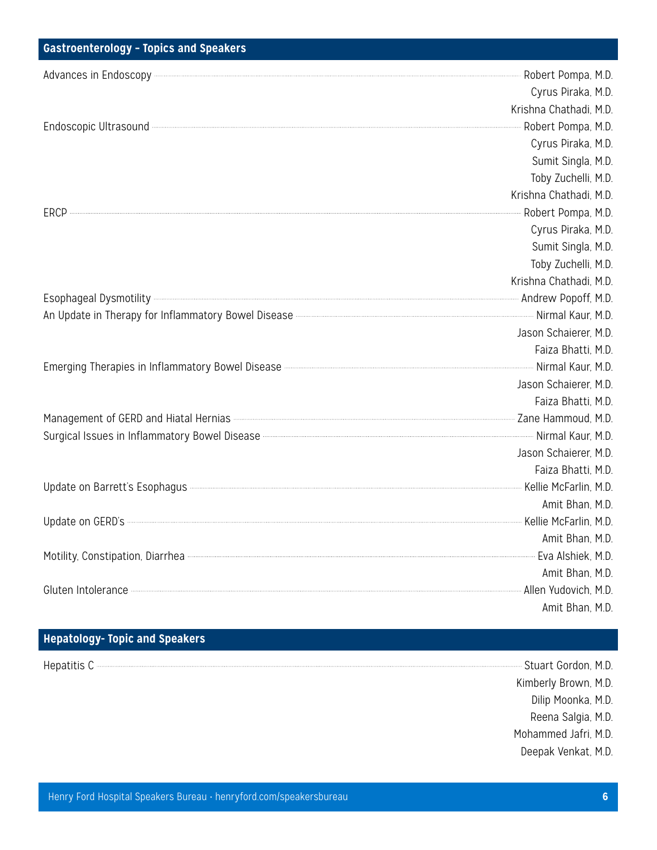#### **Gastroenterology – Topics and Speakers**

| Advances in Endoscopy <b>Entrepreneur and Engineer</b> Robert Pompa, M.D.                                                                                                                                                            |                        |
|--------------------------------------------------------------------------------------------------------------------------------------------------------------------------------------------------------------------------------------|------------------------|
|                                                                                                                                                                                                                                      | Cyrus Piraka, M.D.     |
|                                                                                                                                                                                                                                      | Krishna Chathadi, M.D. |
| Endoscopic Ultrasound <b>Election</b> Pompa, M.D.                                                                                                                                                                                    |                        |
|                                                                                                                                                                                                                                      | Cyrus Piraka, M.D.     |
|                                                                                                                                                                                                                                      | Sumit Singla, M.D.     |
|                                                                                                                                                                                                                                      | Toby Zuchelli, M.D.    |
|                                                                                                                                                                                                                                      | Krishna Chathadi, M.D. |
| ERCP <b>ERCOL</b> 2008 Robert Pompa, M.D.                                                                                                                                                                                            |                        |
|                                                                                                                                                                                                                                      | Cyrus Piraka, M.D.     |
|                                                                                                                                                                                                                                      | Sumit Singla, M.D.     |
|                                                                                                                                                                                                                                      | Toby Zuchelli, M.D.    |
|                                                                                                                                                                                                                                      | Krishna Chathadi, M.D. |
|                                                                                                                                                                                                                                      |                        |
| An Update in Therapy for Inflammatory Bowel Disease <b>Commission Commission Commission</b> Nirmal Kaur, M.D.                                                                                                                        |                        |
|                                                                                                                                                                                                                                      | Jason Schaierer, M.D.  |
|                                                                                                                                                                                                                                      | Faiza Bhatti, M.D.     |
| Emerging Therapies in Inflammatory Bowel Disease <b>Commission Commission Commission</b> . Nirmal Kaur, M.D.                                                                                                                         |                        |
|                                                                                                                                                                                                                                      | Jason Schaierer, M.D.  |
|                                                                                                                                                                                                                                      | Faiza Bhatti, M.D.     |
| Management of GERD and Hiatal Hernias <b>Constitution Constructs</b> 2ane Hammoud, M.D.                                                                                                                                              |                        |
| Surgical Issues in Inflammatory Bowel Disease <b>Manual According to the Control of According Control</b> Nirmal Kaur, M.D.                                                                                                          |                        |
|                                                                                                                                                                                                                                      | Jason Schaierer, M.D.  |
|                                                                                                                                                                                                                                      | Faiza Bhatti, M.D.     |
| Update on Barrett's Esophagus <b>Constitution</b> M.D.                                                                                                                                                                               |                        |
|                                                                                                                                                                                                                                      | Amit Bhan, M.D.        |
| Update on GERD's <b>Example 2018</b> The Kellie McFarlin, M.D.                                                                                                                                                                       |                        |
|                                                                                                                                                                                                                                      | Amit Bhan, M.D.        |
| Motility, Constipation, Diarrhea <b>Motility, Constipation</b> , Diarrhea Matches Albert Museum and Albert Museum and Albert Museum and Albert Museum and Albert Museum and Albert Museum and Albert Museum and Albert Museum and Al |                        |
|                                                                                                                                                                                                                                      | Amit Bhan, M.D.        |
| Gluten Intolerance <b>Entrepreneum Contract Contract Contract</b> Allen Yudovich, M.D.                                                                                                                                               |                        |
|                                                                                                                                                                                                                                      | Amit Bhan, M.D.        |

## **Hepatology- Topic and Speakers**

- Hepatitis C Stuart Gordon, M.D. Kimberly Brown, M.D. Dilip Moonka, M.D. Reena Salgia, M.D.
	- Mohammed Jafri, M.D.
		- Deepak Venkat, M.D.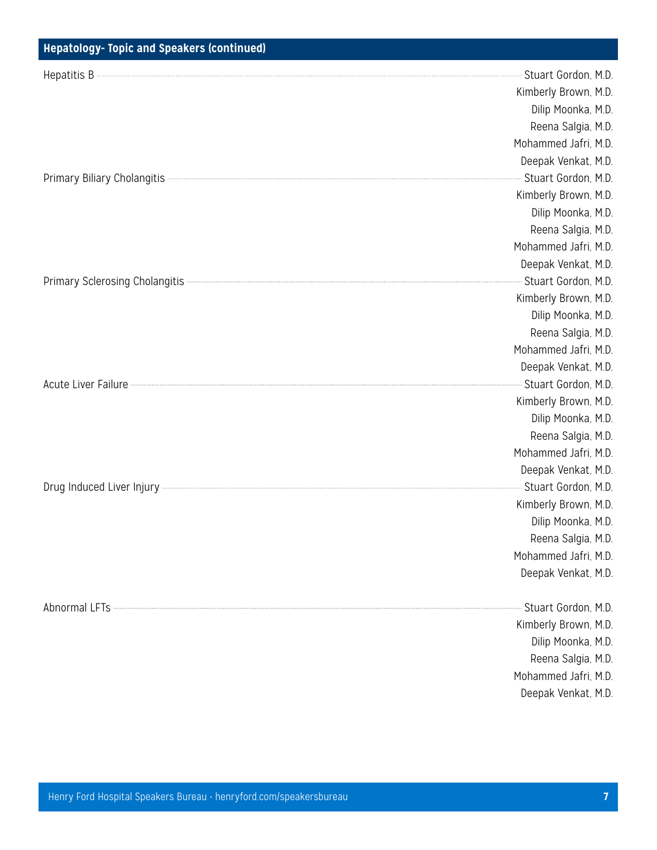| Hepatology- Topic and Speakers (continued)                                                                                                                                                                                          |                        |
|-------------------------------------------------------------------------------------------------------------------------------------------------------------------------------------------------------------------------------------|------------------------|
|                                                                                                                                                                                                                                     | -- Stuart Gordon, M.D. |
|                                                                                                                                                                                                                                     | Kimberly Brown, M.D.   |
|                                                                                                                                                                                                                                     | Dilip Moonka, M.D.     |
|                                                                                                                                                                                                                                     | Reena Salgia, M.D.     |
|                                                                                                                                                                                                                                     | Mohammed Jafri, M.D.   |
|                                                                                                                                                                                                                                     | Deepak Venkat, M.D.    |
|                                                                                                                                                                                                                                     | Stuart Gordon, M.D.    |
|                                                                                                                                                                                                                                     | Kimberly Brown, M.D.   |
|                                                                                                                                                                                                                                     | Dilip Moonka, M.D.     |
|                                                                                                                                                                                                                                     | Reena Salgia, M.D.     |
|                                                                                                                                                                                                                                     | Mohammed Jafri, M.D.   |
|                                                                                                                                                                                                                                     | Deepak Venkat, M.D.    |
| Primary Sclerosing Cholangitis <b>Constitution of the Constitution</b> Construction and Construction Construction and Construction Construction Construction and Construction Construction and Construction Construction Constructi | Stuart Gordon, M.D.    |
|                                                                                                                                                                                                                                     | Kimberly Brown, M.D.   |
|                                                                                                                                                                                                                                     | Dilip Moonka, M.D.     |
|                                                                                                                                                                                                                                     | Reena Salgia, M.D.     |
|                                                                                                                                                                                                                                     | Mohammed Jafri, M.D.   |
|                                                                                                                                                                                                                                     | Deepak Venkat, M.D.    |
| Acute Liver Failure <b>Exercise Commission Contract Commission</b> Contract Commission Commission Commission                                                                                                                        | - Stuart Gordon, M.D.  |
|                                                                                                                                                                                                                                     | Kimberly Brown, M.D.   |
|                                                                                                                                                                                                                                     | Dilip Moonka, M.D.     |
|                                                                                                                                                                                                                                     | Reena Salgia, M.D.     |
|                                                                                                                                                                                                                                     | Mohammed Jafri, M.D.   |
|                                                                                                                                                                                                                                     | Deepak Venkat, M.D.    |
|                                                                                                                                                                                                                                     | - Stuart Gordon, M.D.  |
|                                                                                                                                                                                                                                     | Kimberly Brown, M.D.   |
|                                                                                                                                                                                                                                     | Dilip Moonka, M.D.     |
|                                                                                                                                                                                                                                     | Reena Salgia, M.D.     |
|                                                                                                                                                                                                                                     | Mohammed Jafri, M.D.   |
|                                                                                                                                                                                                                                     | Deepak Venkat, M.D.    |
|                                                                                                                                                                                                                                     | Stuart Gordon, M.D.    |
|                                                                                                                                                                                                                                     | Kimberly Brown, M.D.   |
|                                                                                                                                                                                                                                     | Dilip Moonka, M.D.     |
|                                                                                                                                                                                                                                     | Reena Salgia, M.D.     |
|                                                                                                                                                                                                                                     | Mohammed Jafri, M.D.   |
|                                                                                                                                                                                                                                     |                        |

Deepak Venkat, M.D.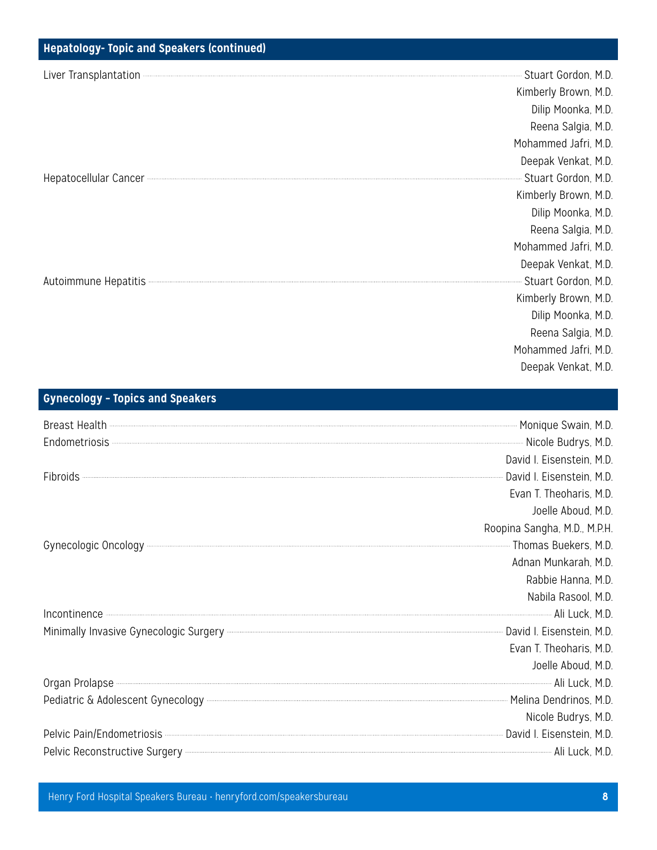| <b>Hepatology- Topic and Speakers (continued)</b>                                                                                                                                                                                   |                         |
|-------------------------------------------------------------------------------------------------------------------------------------------------------------------------------------------------------------------------------------|-------------------------|
| Liver Transplantation <b>Construction</b> and the construction of the construction of the construction of the construction of the construction of the construction of the construction of the construction of the construction of t | Stuart Gordon, M.D.     |
|                                                                                                                                                                                                                                     | Kimberly Brown, M.D.    |
|                                                                                                                                                                                                                                     | Dilip Moonka, M.D.      |
|                                                                                                                                                                                                                                     | Reena Salgia, M.D.      |
|                                                                                                                                                                                                                                     | Mohammed Jafri, M.D.    |
|                                                                                                                                                                                                                                     | Deepak Venkat, M.D.     |
|                                                                                                                                                                                                                                     | Stuart Gordon, M.D.     |
|                                                                                                                                                                                                                                     | Kimberly Brown, M.D.    |
|                                                                                                                                                                                                                                     | Dilip Moonka, M.D.      |
|                                                                                                                                                                                                                                     | Reena Salgia, M.D.      |
|                                                                                                                                                                                                                                     | Mohammed Jafri, M.D.    |
|                                                                                                                                                                                                                                     | Deepak Venkat, M.D.     |
| Autoimmune Hepatitis <b>Manual Autoimmune</b> Hepatitis Autoimmune Autoimmune Autoimmune Autoimmune Autoimmune Autoi                                                                                                                | --- Stuart Gordon, M.D. |
|                                                                                                                                                                                                                                     | Kimberly Brown, M.D.    |
|                                                                                                                                                                                                                                     | Dilip Moonka, M.D.      |
|                                                                                                                                                                                                                                     | Reena Salgia, M.D.      |
|                                                                                                                                                                                                                                     | Mohammed Jafri, M.D.    |

# **Gynecology – Topics and Speakers**

| Breast Health <b>Constitution and Security Constitution</b> Monique Swain, M.D.<br>Endometriosis <b>Constitution Constitution</b> Nicole Budrys, M.D.                                                                                |                              |
|--------------------------------------------------------------------------------------------------------------------------------------------------------------------------------------------------------------------------------------|------------------------------|
|                                                                                                                                                                                                                                      | David I. Eisenstein, M.D.    |
| Fibroids <b>Contract Contract Contract Contract Contract Contract Contract Contract Contract Contract Contract Contract Contract Contract Contract Contract Contract Contract Contract Contract Contract Contract Contract Contr</b> |                              |
|                                                                                                                                                                                                                                      | Evan T. Theoharis, M.D.      |
|                                                                                                                                                                                                                                      | Joelle Aboud, M.D.           |
|                                                                                                                                                                                                                                      | Roopina Sangha, M.D., M.P.H. |
| Gynecologic Oncology <b>Contract Controller Controller Controller Controller Controller Controller Controller Controller Controller Controller Controller Controller Controller Controller Controller Controller Controller Cont</b> |                              |
|                                                                                                                                                                                                                                      | Adnan Munkarah, M.D.         |
|                                                                                                                                                                                                                                      | Rabbie Hanna, M.D.           |
|                                                                                                                                                                                                                                      | Nabila Rasool, M.D.          |
| Incontinence<br>Ali Luck, M.D.<br>Minimally Invasive Gynecologic Surgery Carrell Minimally Invasive Gynecologic Surgery Carrell Minimally Invasive Gynecologic Surgery                                                               |                              |
|                                                                                                                                                                                                                                      |                              |
|                                                                                                                                                                                                                                      | Evan T. Theoharis, M.D.      |
|                                                                                                                                                                                                                                      | Joelle Aboud, M.D.           |
| Organ Prolapse <b>Manual Accord Accord Accord Accord Accord Accord Accord Accord Accord Accord Accord Accord Accord Accord Accord Accord Accord Accord Accord Accord Accord Accord Accord Accord Accord Accord Accord Accord Acc</b> |                              |
| Pediatric & Adolescent Gynecology <b>Exercise Synecology</b> 2016. The Melina Dendrinos, M.D.                                                                                                                                        |                              |
|                                                                                                                                                                                                                                      | Nicole Budrys, M.D.          |
| Pelvic Pain/Endometriosis <b>Contract Contract Contract Contract Contract Contract Contract Contract Contract Contract Contract Contract Contract Contract Contract Contract Contract Contract Contract Contract Contract Contra</b> |                              |
|                                                                                                                                                                                                                                      |                              |

Henry Ford Hospital Speakers Bureau • henryford.com/speakersbureau **8**

Deepak Venkat, M.D.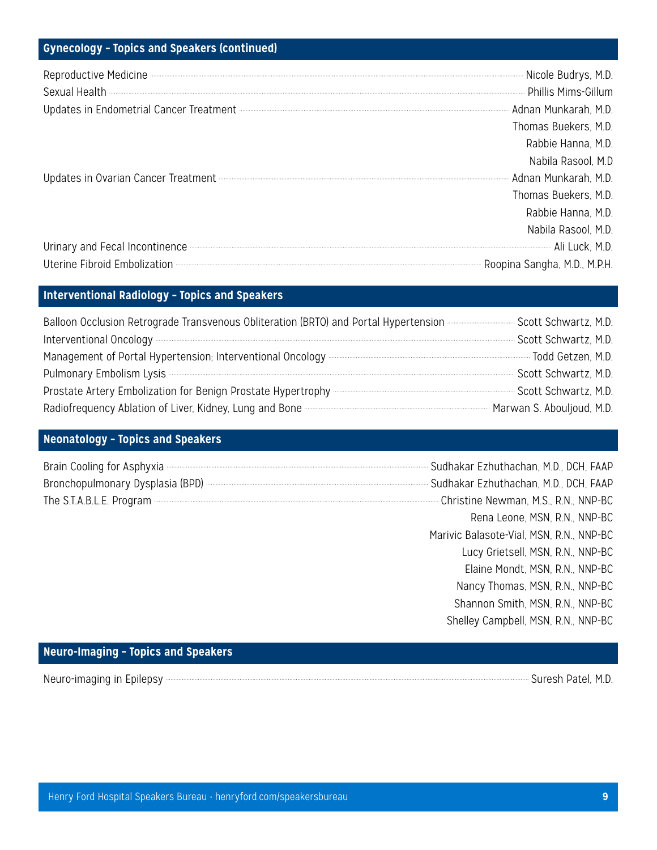# **Gynecology – Topics and Speakers (continued)**

| Reproductive Medicine <b>Medicine</b> Mill. M.D.                                                          |                      |
|-----------------------------------------------------------------------------------------------------------|----------------------|
| Updates in Endometrial Cancer Treatment <b>Electrophysis</b> Content and Allian Munkarah, M.D.            |                      |
|                                                                                                           | Thomas Buekers, M.D. |
|                                                                                                           | Rabbie Hanna, M.D.   |
|                                                                                                           | Nabila Rasool, M.D   |
| Updates in Ovarian Cancer Treatment <b>Election Controller Controller Controller</b> Adnan Munkarah, M.D. |                      |
|                                                                                                           | Thomas Buekers, M.D. |
|                                                                                                           | Rabbie Hanna, M.D.   |
|                                                                                                           | Nabila Rasool, M.D.  |
| Urinary and Fecal Incontinence <b>Constitution</b> A.D.                                                   |                      |
| Uterine Fibroid Embolization <b>Embolization</b> 2014. A.P.H.                                             |                      |

#### **Interventional Radiology – Topics and Speakers**

| Balloon Occlusion Retrograde Transvenous Obliteration (BRTO) and Portal Hypertension <b>Entimary Scott Schwartz, M.D.</b>            |                        |
|--------------------------------------------------------------------------------------------------------------------------------------|------------------------|
| Interventional Oncology                                                                                                              | Scott Schwartz, M.D.   |
| Management of Portal Hypertension; Interventional Oncology <b>Construction-Controller and Science Construction</b> Todd Getzen, M.D. |                        |
|                                                                                                                                      | - Scott Schwartz, M.D. |
|                                                                                                                                      | - Scott Schwartz, M.D. |
| Radiofrequency Ablation of Liver, Kidney, Lung and Bone <b>Construction Construction</b> Marwan S. Abouljoud, M.D.                   |                        |

#### **Neonatology – Topics and Speakers**

| Brain Cooling for Asphyxia <b>Commission Cooling for Asphyxia</b> Cooling for Asphyxia Cooling for Asphyxia Cooling FAAP               |                         |
|----------------------------------------------------------------------------------------------------------------------------------------|-------------------------|
| Bronchopulmonary Dysplasia (BPD) <b>Manufacture Controller Strong Summanufacture Controller Sudhakar Ezhuthachan</b> , M.D., DCH, FAAP |                         |
| The S.T.A.B.L.E. Program <b>Exercise S.T.A.B.L.E. Program Exercise S.T.A.B.L.E. Program Exercise S.T.A.B.L.E. Program</b>              |                         |
|                                                                                                                                        | Renaleone MSN RN NNP-BC |

# Rena Leone, MSN, R.N., NNP-BC Marivic Balasote-Vial, MSN, R.N., NNP-BC Lucy Grietsell, MSN, R.N., NNP-BC Elaine Mondt, MSN, R.N., NNP-BC Nancy Thomas, MSN, R.N., NNP-BC Shannon Smith, MSN, R.N., NNP-BC Shelley Campbell, MSN, R.N., NNP-BC

#### **Neuro-Imaging – Topics and Speakers**

Neuro-imaging in Epilepsy **Suresh Patel**, M.D.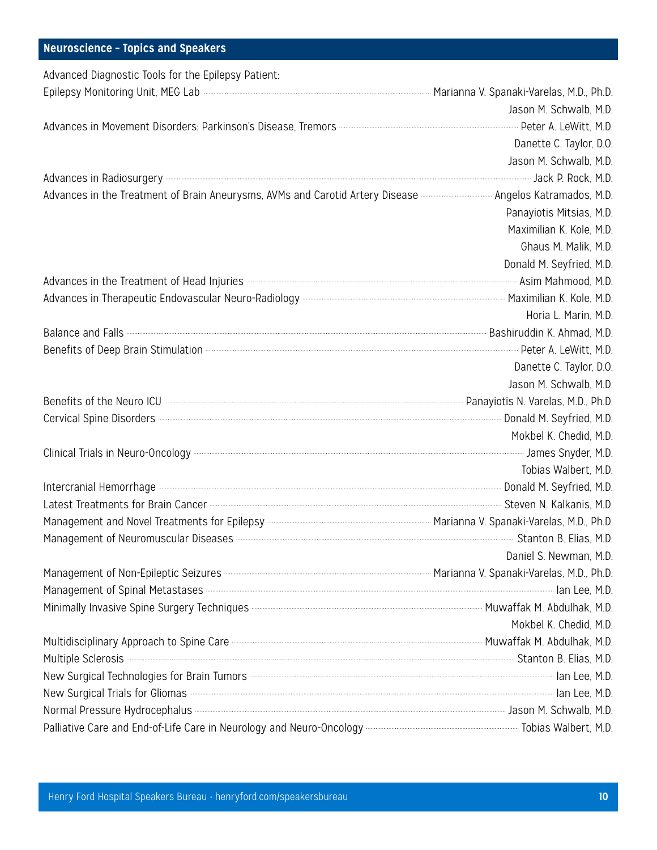#### **Neuroscience – Topics and Speakers**

| Advanced Diagnostic Tools for the Epilepsy Patient:                                                                                     |                          |
|-----------------------------------------------------------------------------------------------------------------------------------------|--------------------------|
| Epilepsy Monitoring Unit, MEG Lab <b>Constitution Constructs</b> Constructed Marianna V. Spanaki-Varelas, M.D., Ph.D.                   |                          |
|                                                                                                                                         | Jason M. Schwalb, M.D.   |
|                                                                                                                                         |                          |
|                                                                                                                                         | Danette C. Taylor, D.O.  |
|                                                                                                                                         | Jason M. Schwalb, M.D.   |
|                                                                                                                                         |                          |
| Advances in the Treatment of Brain Aneurysms, AVMs and Carotid Artery Disease <b>Communistions</b> Angelos Katramados, M.D.             |                          |
|                                                                                                                                         | Panayiotis Mitsias, M.D. |
|                                                                                                                                         | Maximilian K. Kole, M.D. |
|                                                                                                                                         | Ghaus M. Malik, M.D.     |
|                                                                                                                                         | Donald M. Seyfried, M.D. |
| Advances in the Treatment of Head Injuries <b>Constitution</b> Advances and Asim Mahmood, M.D.                                          |                          |
|                                                                                                                                         |                          |
|                                                                                                                                         | Horia L. Marin, M.D.     |
| Balance and Falls <b>Election</b> M.D.                                                                                                  |                          |
| Benefits of Deep Brain Stimulation <b>Election</b> 2016 and 2017 and 2018 and 2019 and 2019 and 2019 and 2019 and 201                   |                          |
|                                                                                                                                         | Danette C. Taylor, D.O.  |
|                                                                                                                                         | Jason M. Schwalb, M.D.   |
|                                                                                                                                         |                          |
| Cervical Spine Disorders <b>Constant Disorders</b> M.D.                                                                                 |                          |
|                                                                                                                                         | Mokbel K. Chedid, M.D.   |
| Clinical Trials in Neuro-Oncology <b>Entity of the Control of Trials</b> James Snyder, M.D.                                             |                          |
|                                                                                                                                         | Tobias Walbert, M.D.     |
| Intercranial Hemorrhage <b>Constitution</b> Donald M. Seyfried, M.D.                                                                    |                          |
| Latest Treatments for Brain Cancer <b>Entimates Training and Steven N. Kalkanis, M.D.</b>                                               |                          |
|                                                                                                                                         |                          |
| Management of Neuromuscular Diseases <b>Constitution Contract Constant Constant Constant Constant Constant Constant</b>                 |                          |
|                                                                                                                                         | Daniel S. Newman, M.D.   |
| Management of Non-Epileptic Seizures <b>Entimal Express Controllers</b> Marianna V. Spanaki-Varelas, M.D., Ph.D.                        |                          |
| Management of Spinal Metastases <b>Entity of Spinal Metastases</b> and Metastases and Management of Spinal Metastases and December 1997 |                          |
| Minimally Invasive Spine Surgery Techniques <b>Constitution Constructs</b> Muwaffak M. Abdulhak, M.D.                                   |                          |
|                                                                                                                                         | Mokbel K. Chedid, M.D.   |
| Multidisciplinary Approach to Spine Care <b>Care Care Accord Controller and Controller</b> Muwaffak M. Abdulhak, M.D.                   |                          |
| Multiple Sclerosis <b>Elias, M.D.</b> Multiple Sclerosis <b>A. Elias, M.D.</b>                                                          |                          |
| New Surgical Technologies for Brain Tumors <b>Constitution Construction</b> and the N.D.                                                |                          |
| New Surgical Trials for Gliomas <b>Constitution</b> and the M.D.                                                                        |                          |
| Normal Pressure Hydrocephalus <b>Manual According to the Control of the Control</b> Distribution of the Schwalb, M.D.                   |                          |
| Palliative Care and End-of-Life Care in Neurology and Neuro-Oncology <b>Construct Construct Controller and School</b>                   |                          |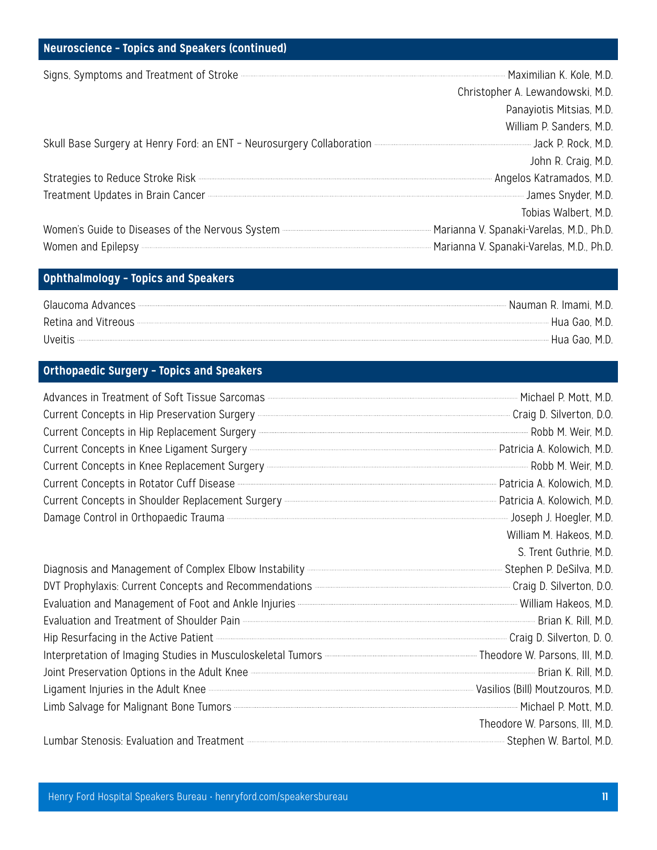#### **Neuroscience – Topics and Speakers (continued)**

| Signs, Symptoms and Treatment of Stroke <b>Constitution</b> Stroke Construction and Treatment of Stroke Construction Construction Construction Construction Construction Construction Construction Construction Construction Constr  |
|--------------------------------------------------------------------------------------------------------------------------------------------------------------------------------------------------------------------------------------|
| Christopher A. Lewandowski, M.D.                                                                                                                                                                                                     |
| Panayiotis Mitsias, M.D.                                                                                                                                                                                                             |
| William P. Sanders, M.D.                                                                                                                                                                                                             |
| Skull Base Surgery at Henry Ford: an ENT - Neurosurgery Collaboration <b>According the Contract Controller Control</b>                                                                                                               |
| John R. Craig, M.D.                                                                                                                                                                                                                  |
| Strategies to Reduce Stroke Risk <b>Manufation and Stroke Assembly</b> Angelos Katramados, M.D.                                                                                                                                      |
| Treatment Updates in Brain Cancer <b>Entitled Strategies</b> James Snyder, M.D.                                                                                                                                                      |
| Tobias Walbert, M.D.                                                                                                                                                                                                                 |
| Women's Guide to Diseases of the Nervous System <b>Commission Construction</b> Marianna V. Spanaki-Varelas, M.D., Ph.D.                                                                                                              |
| Women and Epilepsy <b>Community-Community-Community-Community-Community-Community-Community-Community-Community-Community-Community-Community-Community-Community-Community-Community-Community-Community-Community-Community-Co</b> |
|                                                                                                                                                                                                                                      |

#### **Ophthalmology – Topics and Speakers**

| Glaucoma Advances <b>Material Construction Construction</b> Construction Construction Construction Construction Construction Construction Construction Construction Construction Construction Construction Construction Constructio | · Nauman R. Imami. M.D. |
|-------------------------------------------------------------------------------------------------------------------------------------------------------------------------------------------------------------------------------------|-------------------------|
|                                                                                                                                                                                                                                     |                         |
| Uveitis                                                                                                                                                                                                                             | · Hua Gao, M.D.         |

# **Orthopaedic Surgery – Topics and Speakers**

| Current Concepts in Hip Preservation Surgery <b>Constant Concepts</b> 2014 2015                                                                                                                                                                        |                                |
|--------------------------------------------------------------------------------------------------------------------------------------------------------------------------------------------------------------------------------------------------------|--------------------------------|
| Current Concepts in Hip Replacement Surgery <b>Concepts</b> in Hip Replacement Surgery <b>Concepts</b> in Hip Replacement Surgery <b>Concepts</b> in Hip Replacement Surgery <b>Concepts</b> in Hip Replacement Surgery <b>Concepts</b> in M.D.        |                                |
| Current Concepts in Knee Ligament Surgery <b>Construction Concerns and Construction</b> Patricia A. Kolowich, M.D.                                                                                                                                     |                                |
|                                                                                                                                                                                                                                                        |                                |
| Current Concepts in Rotator Cuff Disease <b>Conception Current Concepts</b> in Rotator Cuff Disease <b>Concepts</b> in Rotator Cuff Disease <b>Concepts</b> in Rotator Cuff Disease <b>Concepts</b> in Rotator Cuff Disease <b>Concepts</b> in Rotator |                                |
| Current Concepts in Shoulder Replacement Surgery <b>Construction Concepts and Shoulder Replacement Surgery</b> Current Concepts in Shoulder Replacement Surgery Construction Concepts and D.D.                                                         |                                |
| Damage Control in Orthopaedic Trauma <b>Control in Control Control</b> in Orthopaedic Trauma Communication Control in Communication Control in Orthopaedic Trauma Communication Control in Control of Trauma Control in Control of                     |                                |
|                                                                                                                                                                                                                                                        | William M. Hakeos, M.D.        |
|                                                                                                                                                                                                                                                        | S. Trent Guthrie, M.D.         |
| Diagnosis and Management of Complex Elbow Instability <b>Manual Complete Complex</b> Elbow Instability <b>Manual Community</b>                                                                                                                         |                                |
| DVT Prophylaxis: Current Concepts and Recommendations <b>Concepts and Recommendations</b> 2008                                                                                                                                                         |                                |
|                                                                                                                                                                                                                                                        |                                |
| Evaluation and Treatment of Shoulder Pain <b>Construction Construction</b> and Treatment of Shoulder Pain Construction                                                                                                                                 |                                |
| Hip Resurfacing in the Active Patient <b>Election Constructs</b> All and School Charles Assembly Craig D. Silverton, D. O.                                                                                                                             |                                |
| Interpretation of Imaging Studies in Musculoskeletal Tumors <b>Construction and Construction</b> Theodore W. Parsons, III, M.D.                                                                                                                        |                                |
| Joint Preservation Options in the Adult Knee <b>Commission Commission Commission</b> Brian K. Rill, M.D.                                                                                                                                               |                                |
| Ligament Injuries in the Adult Knee <b>Constitution</b> Vasilios (Bill) Moutzouros, M.D.                                                                                                                                                               |                                |
| Limb Salvage for Malignant Bone Tumors <b>Constitution</b> Michael P. Mott, M.D.                                                                                                                                                                       |                                |
|                                                                                                                                                                                                                                                        | Theodore W. Parsons, III, M.D. |
| Lumbar Stenosis: Evaluation and Treatment <b>Election Constructs</b> Constructed and Treatment Construction Construction                                                                                                                               |                                |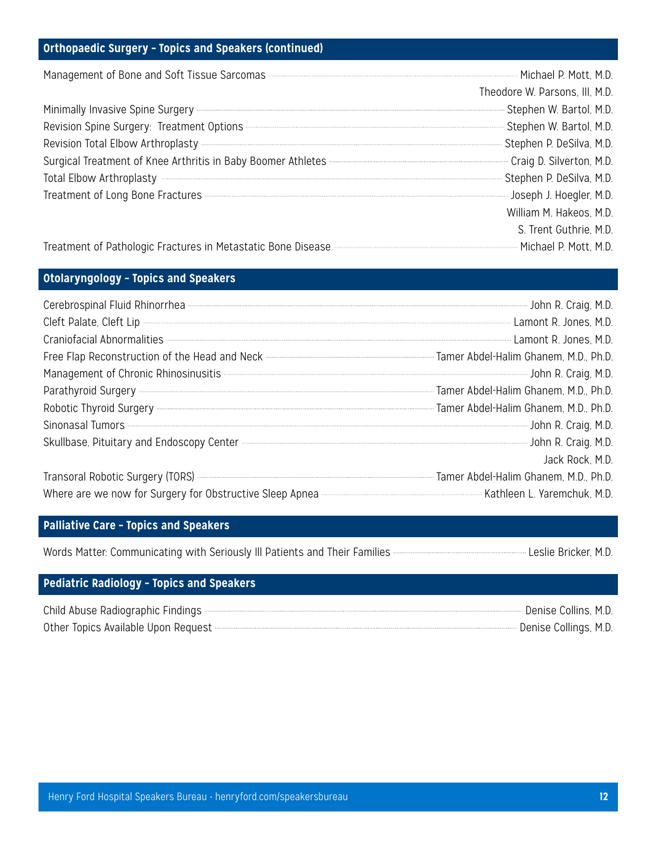#### **Orthopaedic Surgery – Topics and Speakers (continued)**

| Management of Bone and Soft Tissue Sarcomas <b>Entity and Soft Tissue Sarcomas Entertainment</b> Michael P. Mott, M.D.                                         |                                |
|----------------------------------------------------------------------------------------------------------------------------------------------------------------|--------------------------------|
|                                                                                                                                                                | Theodore W. Parsons, III, M.D. |
| Minimally Invasive Spine Surgery <b>Constitution and Construct Constructed Structure</b> Stephen W. Bartol, M.D.                                               |                                |
| Revision Spine Surgery: Treatment Options <b>Election Stephen W. Bartol</b> , M.D.                                                                             |                                |
| Revision Total Elbow Arthroplasty <b>Election</b> M.D.                                                                                                         |                                |
| Surgical Treatment of Knee Arthritis in Baby Boomer Athletes <b>Format Community Craig D. Silverton, M.D.</b>                                                  |                                |
| Total Elbow Arthroplasty <b>Election</b> M.D.                                                                                                                  |                                |
| Treatment of Long Bone Fractures <b>Construction</b> Treatment of Long Bone Fractures <b>Construction</b> Treatment of Long Bone Tractures <b>Construction</b> |                                |
|                                                                                                                                                                | William M. Hakeos, M.D.        |
|                                                                                                                                                                | S. Trent Guthrie, M.D.         |

Treatment of Pathologic Fractures in Metastatic Bone Disease **Microsoft Conferential Contenting Conferent** Michael P. Mott, M.D.

#### **Otolaryngology – Topics and Speakers**

| Cerebrospinal Fluid Rhinorrhea <b>Manual Accord Contract Contract Contract</b> Cerebrospinal Fluid Rhinorrhea Manual Accord Contract Cerebrospinal Fluid Rhinorrhea Manual Accord Cerebrospinal School R. Craig, M.D.                |                 |
|--------------------------------------------------------------------------------------------------------------------------------------------------------------------------------------------------------------------------------------|-----------------|
| Cleft Palate, Cleft Lip <b>Cleft Lip Cleft</b> Lip Cleft Lip Cleft Lip Cleft Lip Cleft Lip Cleft Lip Cleft Lip Cleft Lip                                                                                                             |                 |
| Craniofacial Abnormalities <b>Manufacture of the Contract Contract Contract Contract Contract Contract Contract Contract Contract Contract Contract Contract Contract Contract Contract Contract Contract Contract Contract Cont</b> |                 |
| Free Flap Reconstruction of the Head and Neck <b>Construction</b> of the Head and Neck Construction and Neck Construction and Neck Construction and Neck Construction and Neck Construction and Alex Tamer Abdel-Halim Ghanem, M.D.  |                 |
| Management of Chronic Rhinosinusitis <b>Chronic Executive Control and Service Control</b> Service Chronic R. Craig, M.D.                                                                                                             |                 |
|                                                                                                                                                                                                                                      |                 |
|                                                                                                                                                                                                                                      |                 |
| Sinonasal Tumors <b>Constitution</b> Sinonasal Tumors John R. Craig, M.D.                                                                                                                                                            |                 |
| Skullbase, Pituitary and Endoscopy Center <b>Content Construction</b> John R. Craig, M.D.                                                                                                                                            |                 |
|                                                                                                                                                                                                                                      | Jack Rock, M.D. |
| Transoral Robotic Surgery (TORS) <b>Constitution Contract Construction</b> Tamer Abdel-Halim Ghanem, M.D., Ph.D.                                                                                                                     |                 |
| Where are we now for Surgery for Obstructive Sleep Apnea <b>Construction Controller and School</b> Kathleen L. Yaremchuk, M.D.                                                                                                       |                 |

# **Palliative Care – Topics and Speakers**

| Words Matter: Communicating with Seriously III Patients and Their Families <b>Communication Construction</b> Leslie Bricker, M.D. |  |
|-----------------------------------------------------------------------------------------------------------------------------------|--|
|-----------------------------------------------------------------------------------------------------------------------------------|--|

#### **Pediatric Radiology – Topics and Speakers**

| Child Abuse Radiographic Findings                                                                                                                                                                                                  | Denise Collins, M.D.  |
|------------------------------------------------------------------------------------------------------------------------------------------------------------------------------------------------------------------------------------|-----------------------|
| Other Topics Available Upon Request <b>Construction Control of the Construction</b> Construction Construction Construction Construction Construction Construction Construction Construction Construction Construction Construction | Denise Collings, M.D. |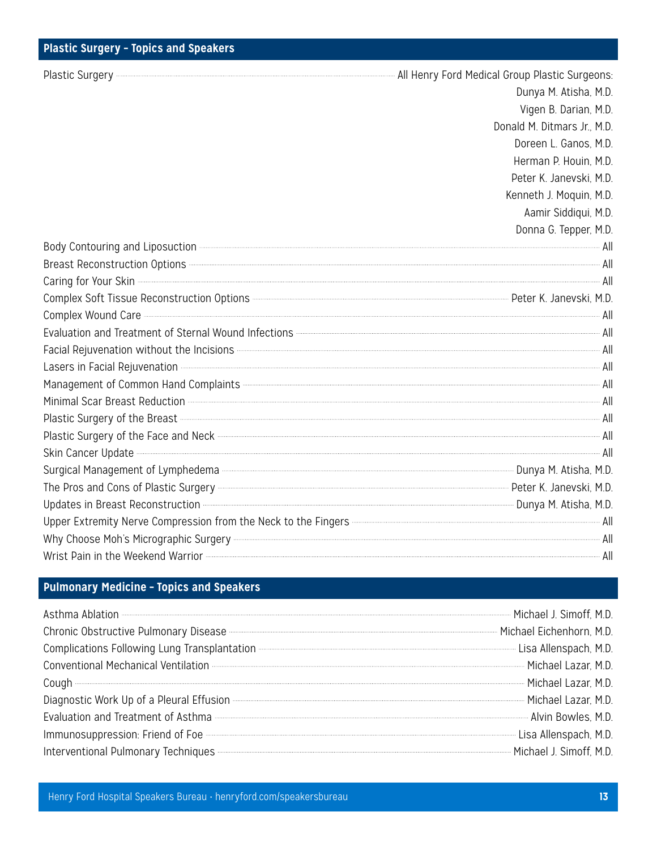# **Plastic Surgery – Topics and Speakers**

Plastic Surgery **All Henry Ford Medical Group Plastic Surgeons:** 

|                                                                                                                                                                 | Dunya M. Atisha, M.D.       |
|-----------------------------------------------------------------------------------------------------------------------------------------------------------------|-----------------------------|
|                                                                                                                                                                 | Vigen B. Darian, M.D.       |
|                                                                                                                                                                 | Donald M. Ditmars Jr., M.D. |
|                                                                                                                                                                 | Doreen L. Ganos, M.D.       |
|                                                                                                                                                                 | Herman P. Houin, M.D.       |
|                                                                                                                                                                 | Peter K. Janevski, M.D.     |
|                                                                                                                                                                 | Kenneth J. Moquin, M.D.     |
|                                                                                                                                                                 | Aamir Siddiqui, M.D.        |
|                                                                                                                                                                 | Donna G. Tepper, M.D.       |
| Body Contouring and Liposuction <b>Contract Contract Contract Contract Contract Contract Contract Contouring and Liposuction</b>                                |                             |
| Breast Reconstruction Options <b>Construction Options</b> All                                                                                                   |                             |
|                                                                                                                                                                 |                             |
| Complex Soft Tissue Reconstruction Options <b>Commission Commission Commission</b> Peter K. Janevski, M.D.                                                      |                             |
| Complex Wound Care <b>Complex Wound Care</b> All                                                                                                                |                             |
| Evaluation and Treatment of Sternal Wound Infections <b>Constitutions</b> and a strategy and Treatment All                                                      |                             |
| Facial Rejuvenation without the Incisions <b>Constitution and Constitution</b> All                                                                              |                             |
| Lasers in Facial Rejuvenation <b>Commission Commission Commission</b> All                                                                                       |                             |
| Management of Common Hand Complaints <b>Common Strategie and Common All</b>                                                                                     |                             |
| Minimal Scar Breast Reduction <b>Construction</b> All                                                                                                           |                             |
| Plastic Surgery of the Breast <b>Express Construction</b> All                                                                                                   |                             |
| Plastic Surgery of the Face and Neck <b>Constitution and Section</b> All                                                                                        |                             |
|                                                                                                                                                                 |                             |
|                                                                                                                                                                 |                             |
| The Pros and Cons of Plastic Surgery <b>Entity and Secure 2018</b> Peter K. Janevski, M.D.                                                                      |                             |
| Updates in Breast Reconstruction <b>Constitution</b> Committee of the Construction Constitution and the Constitution Construction and the Dunya M. Atisha, M.D. |                             |
|                                                                                                                                                                 |                             |
|                                                                                                                                                                 |                             |
| Wrist Pain in the Weekend Warrior <b>Constitution and Constitution</b> All                                                                                      |                             |

### **Pulmonary Medicine – Topics and Speakers**

| Asthma Ablation <b>Constitution</b> 2010 Michael J. Simoff, M.D.                                                       |  |
|------------------------------------------------------------------------------------------------------------------------|--|
| Chronic Obstructive Pulmonary Disease <b>Manual According to the Charles Chronic Charles Hichael Eichenhorn</b> , M.D. |  |
| Complications Following Lung Transplantation <b>Election Complication</b> Lisa Allenspach, M.D.                        |  |
| Conventional Mechanical Ventilation <b>Election</b> 2016 120 120 2016 121 2021, M.D.                                   |  |
| Cough <b>Example 2016</b> Michael Lazar, M.D.                                                                          |  |
| Diagnostic Work Up of a Pleural Effusion <b>Election</b> 2008 Community and the Michael Lazar, M.D.                    |  |
|                                                                                                                        |  |
| Immunosuppression: Friend of Foe <b>Constitution Construction</b> Lisa Allenspach, M.D.                                |  |
| Interventional Pulmonary Techniques <b>Election and Techniques Election</b> 2010 1. Simoff, M.D.                       |  |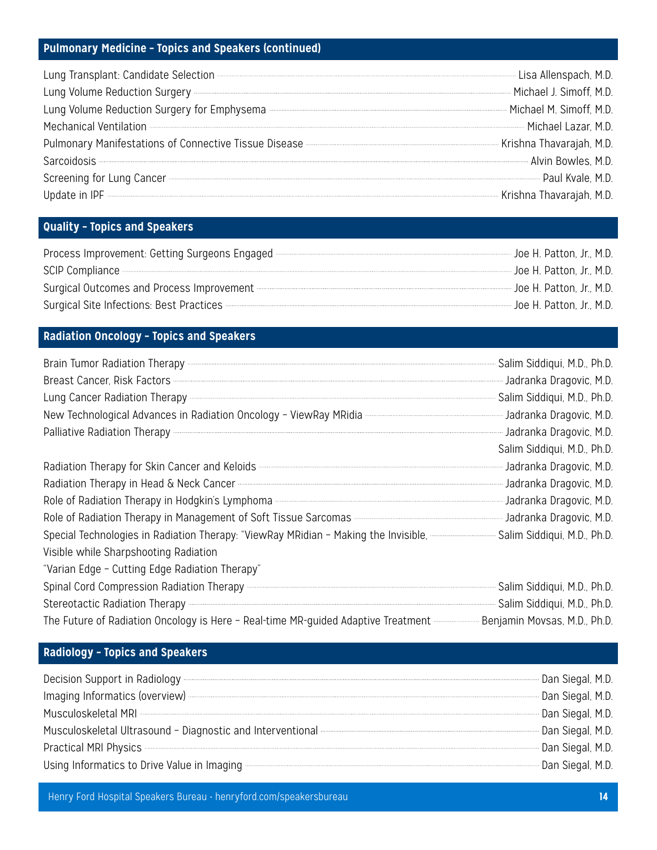#### **Pulmonary Medicine – Topics and Speakers (continued)**

| Lung Transplant: Candidate Selection <b>Metallic Selection</b> 2016 and the University Candidate Selection 2016. M.D.                                                                                                                |  |
|--------------------------------------------------------------------------------------------------------------------------------------------------------------------------------------------------------------------------------------|--|
| Lung Volume Reduction Surgery <b>Entrance Contract Contract Contract Contract Contract Contract Contract Contract Contract Contract Contract Contract Contract Contract Contract Contract Contract Contract Contract Contract Co</b> |  |
| Lung Volume Reduction Surgery for Emphysema <b>Election</b> Surgery for Emphysema <b>Election</b> Communication Contract Communication Communication Michael M. Simoff, M.D.                                                         |  |
| Mechanical Ventilation <b>Multiple and Service Contract Contract Contract Contract Contract Contract Contract Contract Contract Contract Contract Contract Contract Contract Contract Contract Contract Contract Contract Contra</b> |  |
| Pulmonary Manifestations of Connective Tissue Disease <b>Election Connective Tissue Disease 2016</b> 2016 2021 2022                                                                                                                  |  |
| Sarcoidosis <b>Marcoidosis Alvin Bowles, M.D.</b> Sarcoidosis Alvin Bowles, M.D.                                                                                                                                                     |  |
| Screening for Lung Cancer <b>Entrepreneum Cancer</b> Paul Kvale, M.D.                                                                                                                                                                |  |
| Update in IPF <b>Entity of the Contract of Contract Contract of Contract Contract Contract Contract Contract Contract Contract Contract Contract Contract Contract Contract Contract Contract Contract Contract Contract Contrac</b> |  |

#### **Quality – Topics and Speakers**

| Process Improvement: Getting Surgeons Engaged <b>Commission Construction</b> The H. Patton, Jr., M.D.                                                                 |  |
|-----------------------------------------------------------------------------------------------------------------------------------------------------------------------|--|
| SCIP Compliance The Patton, Jr., M.D.                                                                                                                                 |  |
| Surgical Outcomes and Process Improvement <b>Constitution</b> Surgical Outcomes and Process Improvement Construction Construction Construction Construction Jr., M.D. |  |
| Surgical Site Infections: Best Practices <b>Constitutions:</b> We H. Patton, Jr., M.D.                                                                                |  |

#### **Radiation Oncology – Topics and Speakers**

| Brain Tumor Radiation Therapy <b>Constitution</b> Cherapy <b>Constanting Constanting Constanting Constanting Constanting Constanting Constanting Constanting Construction Construction Construction Construction Construction Constru</b> |                             |
|-------------------------------------------------------------------------------------------------------------------------------------------------------------------------------------------------------------------------------------------|-----------------------------|
| Breast Cancer, Risk Factors <b>Mullen Mullen Mullen and Security</b> Jadranka Dragovic, M.D.                                                                                                                                              |                             |
|                                                                                                                                                                                                                                           | Salim Siddiqui, M.D., Ph.D. |
| New Technological Advances in Radiation Oncology - ViewRay MRidia <b>Commission Construction</b> Jadranka Dragovic, M.D.                                                                                                                  |                             |
|                                                                                                                                                                                                                                           |                             |
|                                                                                                                                                                                                                                           | Salim Siddiqui, M.D., Ph.D. |
| Radiation Therapy for Skin Cancer and Keloids <b>Constitution</b> School and The Magnetic M.D.                                                                                                                                            |                             |
| Radiation Therapy in Head & Neck Cancer <b>Contract Contract Contract Contract</b> Dragovic, M.D.                                                                                                                                         |                             |
| Role of Radiation Therapy in Hodgkin's Lymphoma <b>Compony Contract Contract Contract Contract</b> Jadranka Dragovic, M.D.                                                                                                                |                             |
| Role of Radiation Therapy in Management of Soft Tissue Sarcomas <b>Contract Contract Contract Contract</b> Jadranka Dragovic, M.D.                                                                                                        |                             |
| Special Technologies in Radiation Therapy: "ViewRay MRidian - Making the Invisible, <b></b> Salim Siddiqui, M.D., Ph.D.                                                                                                                   |                             |
| Visible while Sharpshooting Radiation                                                                                                                                                                                                     |                             |
| "Varian Edge - Cutting Edge Radiation Therapy"                                                                                                                                                                                            |                             |
|                                                                                                                                                                                                                                           |                             |
| Stereotactic Radiation Therapy <b>Entity of the Contract Contract Contract</b> Salim Siddiqui, M.D., Ph.D.                                                                                                                                |                             |
| The Future of Radiation Oncology is Here - Real-time MR-guided Adaptive Treatment <b>Access 20 Fig. 2016</b> Movsas, M.D., Ph.D.                                                                                                          |                             |

#### **Radiology – Topics and Speakers**

| Decision Support in Radiology <b>Construction</b> Construction Construction Construction Construction Construction Construction Construction Construction Construction Construction Construction Construction Construction Construc  | ∙ Dan Siegal, M.D. |
|--------------------------------------------------------------------------------------------------------------------------------------------------------------------------------------------------------------------------------------|--------------------|
|                                                                                                                                                                                                                                      | - Dan Siegal, M.D. |
|                                                                                                                                                                                                                                      | - Dan Siegal, M.D. |
| Musculoskeletal Ultrasound - Diagnostic and Interventional <b>Construction-Construction-Construction-Construction-Construction-Construction-Construction-Construction-Construction-Construction-Construction-Construction-Constr</b> | - Dan Siegal, M.D. |
| Practical MRI Physics <b>Commission Contract Contract Contract Contract Contract Contract Contract Contract Contract Contract Contract Contract Contract Contract Contract Contract Contract Contract Contract Contract Contract</b> | "Dan Siegal, M.D.  |
| Using Informatics to Drive Value in Imaging <b>Exercise Security Contract Contract Contract Contract Contract Contract Contract Contract Contract Contract Contract Contract Contract Contract Contract Contract Contract Contra</b> |                    |

Henry Ford Hospital Speakers Bureau • henryford.com/speakersbureau **14**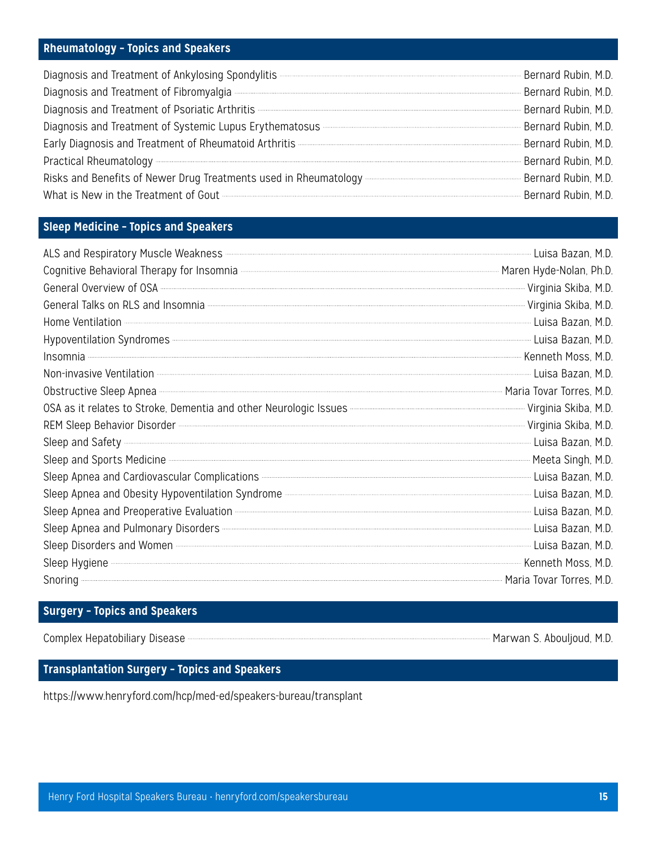#### **Rheumatology – Topics and Speakers**

| Diagnosis and Treatment of Ankylosing Spondylitis <b>Constitution Construction</b> Bernard Rubin, M.D.                                                                                                                               |                       |
|--------------------------------------------------------------------------------------------------------------------------------------------------------------------------------------------------------------------------------------|-----------------------|
|                                                                                                                                                                                                                                      | Bernard Rubin, M.D.   |
|                                                                                                                                                                                                                                      | "Bernard Rubin, M.D.  |
| Diagnosis and Treatment of Systemic Lupus Erythematosus <b>Commission Constructs</b> and Treatment of Systemic Lupus Erythematosus                                                                                                   | - Bernard Rubin, M.D. |
| Early Diagnosis and Treatment of Rheumatoid Arthritis - 2008 and 2009 and 2009 and 2009 and 2009 and 2009 and                                                                                                                        | Bernard Rubin, M.D.   |
|                                                                                                                                                                                                                                      | Bernard Rubin, M.D.   |
| Risks and Benefits of Newer Drug Treatments used in Rheumatology <b>Construct Controller and Servey Bernard Rubin, M.D.</b>                                                                                                          |                       |
| What is New in the Treatment of Gout <b>Contract Contract Contract Contract Contract Contract Contract Contract Contract Contract Contract Contract Contract Contract Contract Contract Contract Contract Contract Contract Cont</b> | Bernard Rubin, M.D.   |

#### **Sleep Medicine – Topics and Speakers**

| ALS and Respiratory Muscle Weakness <b>Exercise Also and Respiratory Muscle Weakness</b> (2017) 2014                                                                                                                                      |                     |
|-------------------------------------------------------------------------------------------------------------------------------------------------------------------------------------------------------------------------------------------|---------------------|
|                                                                                                                                                                                                                                           |                     |
| Cognitive Behavioral Therapy for Insomnia <b>Community Construction</b> Maren Hyde-Nolan, Ph.D.<br>General Overview of OSA <b>Construction</b> OSA Construction of OSA Constant OSA Construction Construction Constructio                 |                     |
| General Talks on RLS and Insomnia <b>Constitution</b> Construction of the Virginia Skiba, M.D.                                                                                                                                            |                     |
| Home Ventilation <b>Contract Contract Contract Contract Contract Contract Contract Contract Contract Contract Contract Contract Contract Contract Contract Contract Contract Contract Contract Contract Contract Contract Contra</b>      |                     |
| Hypoventilation Syndromes <b>www.warenes.community.community</b> Luisa Bazan, M.D.                                                                                                                                                        |                     |
| Insomnia <b>Maria Kenneth Moss, M.D.</b>                                                                                                                                                                                                  |                     |
| Non-invasive Ventilation <b>Construction</b> 2014 1997 and 2014 1997 and 2014 1997 and 2014 1997 and 2014 1997 and 2014                                                                                                                   | - Luisa Bazan, M.D. |
| Obstructive Sleep Apnea <b>Maria Tovar Torres</b> , M.D.                                                                                                                                                                                  |                     |
| OSA as it relates to Stroke, Dementia and other Neurologic Issues <b>Manual Construction Construction</b> Virginia Skiba, M.D.                                                                                                            |                     |
| REM Sleep Behavior Disorder Windows (States of Alberta) and Safety (Sleep and Safety (Ninginia Skiba, M.D.<br>Sleep and Safety (Ninginia Skiba, M.D. Eleep and Sports Medicine (Ninginia Skiba, M.D. Eleep and Sports Medicine            |                     |
|                                                                                                                                                                                                                                           |                     |
|                                                                                                                                                                                                                                           |                     |
| Sleep Apnea and Cardiovascular Complications <b>Complications</b> 2008 and 2011 and 2018 and 2019 and 2019 and 2019 and                                                                                                                   |                     |
| Sleep Apnea and Obesity Hypoventilation Syndrome <b>Constitution</b> and Character Luisa Bazan, M.D.                                                                                                                                      |                     |
| Sleep Apnea and Preoperative Evaluation <b>Constitution</b> 2014 12 and 2015 12 and 2017 12 and 2018 12 and 2018 12 and                                                                                                                   |                     |
|                                                                                                                                                                                                                                           | Luisa Bazan, M.D.   |
| Sleep Disorders and Women <b>Exercise Sleep Disorders</b> and Women <b>Musicial Contract Contract Contract Contract Contract Contract Contract Contract Contract Contract Contract Contract Contract Contract Contract Contract Contr</b> |                     |
| Sleep Hygiene <b>Moss, M.D.</b> Sleep Hygiene Moss, M.D.                                                                                                                                                                                  |                     |
|                                                                                                                                                                                                                                           |                     |

#### **Surgery – Topics and Speakers**

Complex Hepatobiliary Disease **Marwan S. Abouljoud, M.D.** 

#### **Transplantation Surgery – Topics and Speakers**

https://www.henryford.com/hcp/med-ed/speakers-bureau/transplant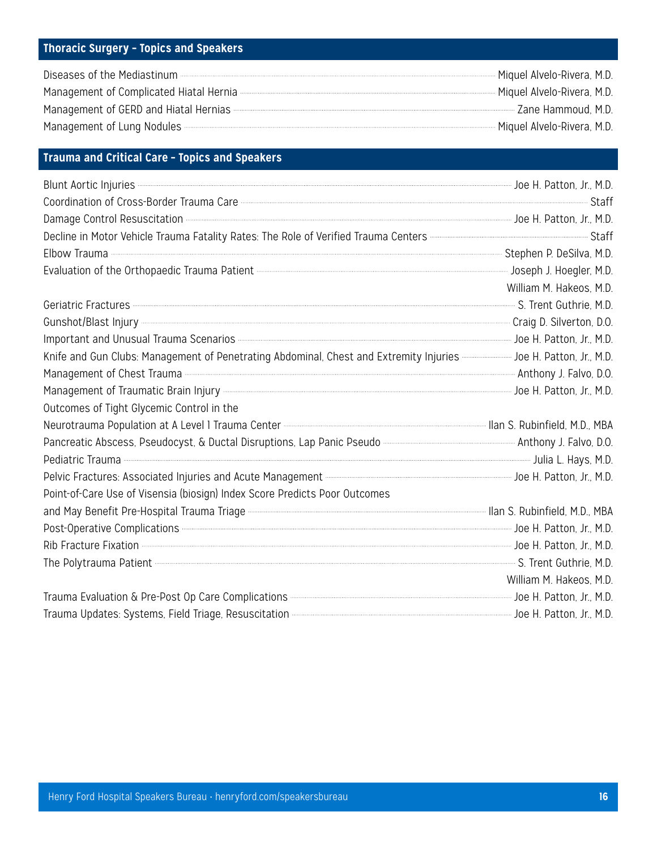#### **Thoracic Surgery – Topics and Speakers**

| Diseases of the Mediastinum <b>Exercía and Service Contract and Service</b> Miquel Alvelo-Rivera, M.D.                                                                                                                                                   |  |
|----------------------------------------------------------------------------------------------------------------------------------------------------------------------------------------------------------------------------------------------------------|--|
| Management of Complicated Hiatal Hernia <b>Election Complicated Hiatal Hernia</b> elections and the manusculture and the manusculture and manusculture and manusculture and Miguel Alvelo-Rivera, M.D.                                                   |  |
| Management of GERD and Hiatal Hernias <b>Constitution and Constanting Construction</b> 2ane Hammoud, M.D.                                                                                                                                                |  |
| Management of Lung Nodules <b>Constitution Constructs</b> Management of Lung Nodules <b>Constructs Constructs</b> Management of Lung Nodules <b>Constructs</b> Management of Lung Nodules <b>Constructs</b> Management of Lung Nodules <b>Constructs</b> |  |

#### **Trauma and Critical Care – Topics and Speakers**

| Blunt Aortic Injuries <b>Constitution</b> and Manual Science of H. Patton, Jr., M.D.                                                                                                                                                 |                         |
|--------------------------------------------------------------------------------------------------------------------------------------------------------------------------------------------------------------------------------------|-------------------------|
| Coordination of Cross-Border Trauma Care <b>Contract Contract Contract Contract Contract</b> Staff                                                                                                                                   |                         |
| Damage Control Resuscitation <b>Control Resuscitation</b> 21, M.D.                                                                                                                                                                   |                         |
|                                                                                                                                                                                                                                      |                         |
| Elbow Trauma <b>Marson P. DeSilva, M.D.</b>                                                                                                                                                                                          |                         |
|                                                                                                                                                                                                                                      |                         |
|                                                                                                                                                                                                                                      | William M. Hakeos, M.D. |
| Geriatric Fractures <b>Executives</b> M.D.                                                                                                                                                                                           |                         |
| Gunshot/Blast Injury <b>Called According to the Called According Craig D. Silverton</b> , D.O.                                                                                                                                       |                         |
| Important and Unusual Trauma Scenarios <b>Commission Commission Commission</b> Joe H. Patton, Jr., M.D.                                                                                                                              |                         |
| Knife and Gun Clubs: Management of Penetrating Abdominal, Chest and Extremity Injuries <b>Commission Hotel</b> Patton, Jr., M.D.                                                                                                     |                         |
| Management of Chest Trauma <b>Construct Construction</b> 2008.                                                                                                                                                                       |                         |
|                                                                                                                                                                                                                                      |                         |
| Outcomes of Tight Glycemic Control in the                                                                                                                                                                                            |                         |
| Neurotrauma Population at A Level 1 Trauma Center <b>Enter Access Commences</b> Ilan S. Rubinfield, M.D., MBA                                                                                                                        |                         |
| Pancreatic Abscess, Pseudocyst, & Ductal Disruptions, Lap Panic Pseudo <b>manual members and Anthony J. Falvo, D.O.</b>                                                                                                              |                         |
| Pediatric Trauma <b>contract and the Contract Contract Contract Contract Contract Contract Contract Contract Contract Contract Contract Contract Contract Contract Contract Contract Contract Contract Contract Contract Contrac</b> |                         |
| Pelvic Fractures: Associated Injuries and Acute Management - 2008 Community and the Management of the Management Account Community and the US of H. Patton, Jr., M.D.                                                                |                         |
| Point-of-Care Use of Visensia (biosign) Index Score Predicts Poor Outcomes                                                                                                                                                           |                         |
| and May Benefit Pre-Hospital Trauma Triage <b>Commission Commission Commission</b> Ilan S. Rubinfield, M.D., MBA                                                                                                                     |                         |
| Post-Operative Complications <b>Exercise Complications Mature Mature 2019</b> 10. M.D.                                                                                                                                               |                         |
| Rib Fracture Fixation <b>Example 19</b> Joe H. Patton, Jr., M.D.                                                                                                                                                                     |                         |
| The Polytrauma Patient <b>Election</b> M.D.                                                                                                                                                                                          |                         |
|                                                                                                                                                                                                                                      | William M. Hakeos, M.D. |
| Trauma Evaluation & Pre-Post Op Care Complications <b>Communities</b> Communities and Contract Communities and Trauma Communities and Trauma Communities and Trauma Communities and Trauma Communities and Trauma Communities and T  |                         |
|                                                                                                                                                                                                                                      |                         |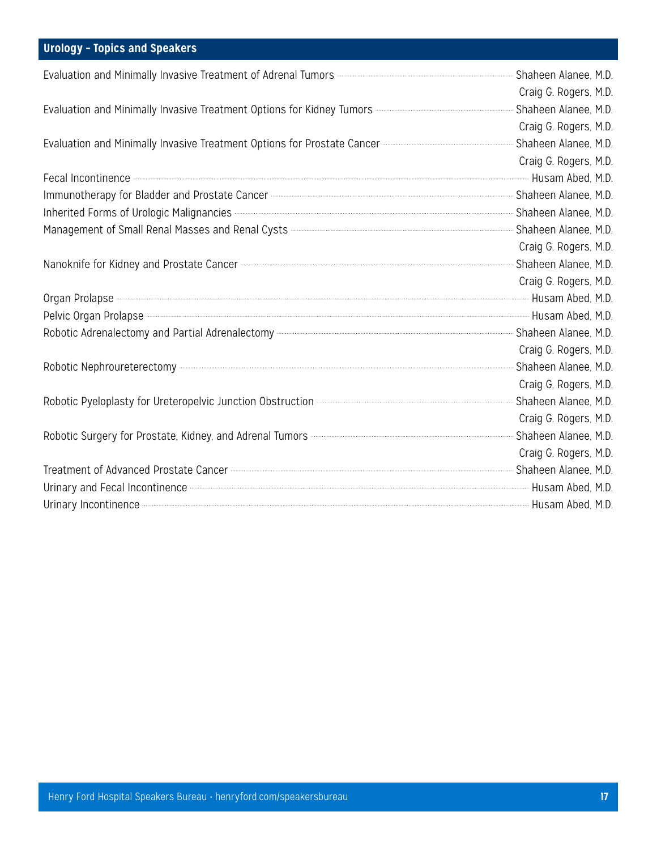#### **Urology – Topics and Speakers**

|                                                                                                                                                                                                                                      | Craig G. Rogers, M.D. |
|--------------------------------------------------------------------------------------------------------------------------------------------------------------------------------------------------------------------------------------|-----------------------|
| Evaluation and Minimally Invasive Treatment Options for Kidney Tumors <b>Commission Construction</b> Shaheen Alanee, M.D.                                                                                                            |                       |
|                                                                                                                                                                                                                                      | Craig G. Rogers, M.D. |
| Evaluation and Minimally Invasive Treatment Options for Prostate Cancer <b>Cancer Communications</b> Shaheen Alanee, M.D.                                                                                                            |                       |
|                                                                                                                                                                                                                                      | Craig G. Rogers, M.D. |
| Fecal Incontinence <b>Exercise According to the United States</b> Husam Abed, M.D.                                                                                                                                                   |                       |
| Immunotherapy for Bladder and Prostate Cancer <b>Cancer 2006</b> Construction and District Cancer Cancer Cancer Cancer                                                                                                               |                       |
| Inherited Forms of Urologic Malignancies <b>Motion According to the Control of Contract</b> Shaheen Alanee, M.D.                                                                                                                     |                       |
| Management of Small Renal Masses and Renal Cysts - 2008 - 2008 - 2008 - 2009 - 2010 Shaheen Alanee, M.D.                                                                                                                             |                       |
|                                                                                                                                                                                                                                      | Craig G. Rogers, M.D. |
| Nanoknife for Kidney and Prostate Cancer <b>Contract Contract Contract Contract Contract Contract Contract Control</b>                                                                                                               |                       |
|                                                                                                                                                                                                                                      | Craig G. Rogers, M.D. |
| Organ Prolapse <b>Election According to the Contract Contract Contract Contract Contract Contract Contract Contract Contract Contract Contract Contract Contract Contract Contract Contract Contract Contract Contract Contract </b> |                       |
| Pelvic Organ Prolapse <b>Constitution</b> and a Husam Abed, M.D.                                                                                                                                                                     |                       |
|                                                                                                                                                                                                                                      |                       |
|                                                                                                                                                                                                                                      | Craig G. Rogers, M.D. |
| Robotic Nephroureterectomy <b>Example 2019</b> Shaheen Alanee, M.D.                                                                                                                                                                  |                       |
|                                                                                                                                                                                                                                      | Craig G. Rogers, M.D. |
| Robotic Pyeloplasty for Ureteropelvic Junction Obstruction <b>Constitution Constitution</b> 2014 Shaheen Alanee, M.D.                                                                                                                |                       |
|                                                                                                                                                                                                                                      | Craig G. Rogers, M.D. |
| Robotic Surgery for Prostate, Kidney, and Adrenal Tumors <b>Entity Construct Controller and Science</b> Shaheen Alanee, M.D.                                                                                                         |                       |
|                                                                                                                                                                                                                                      | Craig G. Rogers, M.D. |
| Treatment of Advanced Prostate Cancer <b>Cancer Communication Construction</b> Shaheen Alanee, M.D.                                                                                                                                  |                       |
| Urinary and Fecal Incontinence <b>Constitution</b> and the Husam Abed, M.D.                                                                                                                                                          |                       |
| Urinary Incontinence <b>Constitution</b> and a Husting M.D.                                                                                                                                                                          |                       |